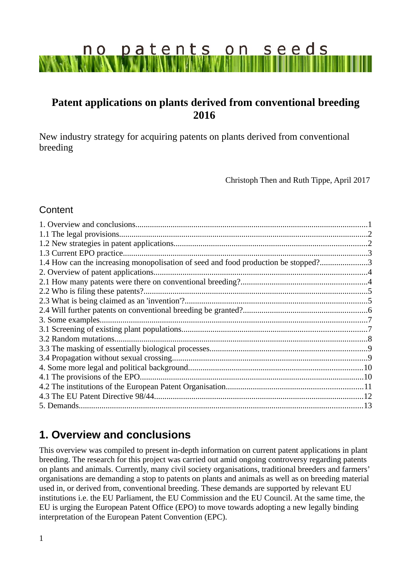# patents on seeds  $n \circ$

# **Patent applications on plants derived from conventional breeding 2016**

New industry strategy for acquiring patents on plants derived from conventional breeding

Christoph Then and Ruth Tippe, April 2017

### Content

| 1.4 How can the increasing monopolisation of seed and food production be stopped?3 |  |
|------------------------------------------------------------------------------------|--|
|                                                                                    |  |
|                                                                                    |  |
|                                                                                    |  |
|                                                                                    |  |
|                                                                                    |  |
|                                                                                    |  |
|                                                                                    |  |
|                                                                                    |  |
|                                                                                    |  |
|                                                                                    |  |
|                                                                                    |  |
|                                                                                    |  |
|                                                                                    |  |
|                                                                                    |  |
| 5. Demands.                                                                        |  |
|                                                                                    |  |

# <span id="page-0-0"></span>**1. Overview and conclusions**

This overview was compiled to present in-depth information on current patent applications in plant breeding. The research for this project was carried out amid ongoing controversy regarding patents on plants and animals. Currently, many civil society organisations, traditional breeders and farmers' organisations are demanding a stop to patents on plants and animals as well as on breeding material used in, or derived from, conventional breeding. These demands are supported by relevant EU institutions i.e. the EU Parliament, the EU Commission and the EU Council. At the same time, the EU is urging the European Patent Office (EPO) to move towards adopting a new legally binding interpretation of the European Patent Convention (EPC).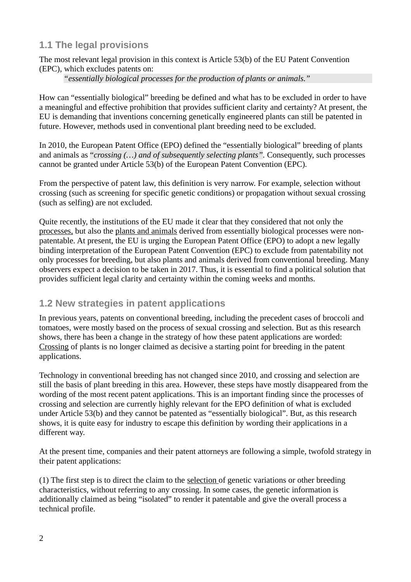# <span id="page-1-1"></span>**1.1 The legal provisions**

The most relevant legal provision in this context is Article 53(b) of the EU Patent Convention (EPC), which excludes patents on:

*"essentially biological processes for the production of plants or animals."* 

How can "essentially biological" breeding be defined and what has to be excluded in order to have a meaningful and effective prohibition that provides sufficient clarity and certainty? At present, the EU is demanding that inventions concerning genetically engineered plants can still be patented in future. However, methods used in conventional plant breeding need to be excluded.

In 2010, the European Patent Office (EPO) defined the "essentially biological" breeding of plants and animals as "*crossing (…) and of subsequently selecting plants".* Consequently, such processes cannot be granted under Article 53(b) of the European Patent Convention (EPC)*.* 

From the perspective of patent law, this definition is very narrow. For example, selection without crossing (such as screening for specific genetic conditions) or propagation without sexual crossing (such as selfing) are not excluded.

Quite recently, the institutions of the EU made it clear that they considered that not only the processes, but also the plants and animals derived from essentially biological processes were nonpatentable. At present, the EU is urging the European Patent Office (EPO) to adopt a new legally binding interpretation of the European Patent Convention (EPC) to exclude from patentability not only processes for breeding, but also plants and animals derived from conventional breeding. Many observers expect a decision to be taken in 2017. Thus, it is essential to find a political solution that provides sufficient legal clarity and certainty within the coming weeks and months.

# <span id="page-1-0"></span>**1.2 New strategies in patent applications**

In previous years, patents on conventional breeding, including the precedent cases of broccoli and tomatoes, were mostly based on the process of sexual crossing and selection. But as this research shows, there has been a change in the strategy of how these patent applications are worded: Crossing of plants is no longer claimed as decisive a starting point for breeding in the patent applications.

Technology in conventional breeding has not changed since 2010, and crossing and selection are still the basis of plant breeding in this area. However, these steps have mostly disappeared from the wording of the most recent patent applications. This is an important finding since the processes of crossing and selection are currently highly relevant for the EPO definition of what is excluded under Article 53(b) and they cannot be patented as "essentially biological". But, as this research shows, it is quite easy for industry to escape this definition by wording their applications in a different way.

At the present time, companies and their patent attorneys are following a simple, twofold strategy in their patent applications:

(1) The first step is to direct the claim to the selection of genetic variations or other breeding characteristics, without referring to any crossing. In some cases, the genetic information is additionally claimed as being "isolated" to render it patentable and give the overall process a technical profile.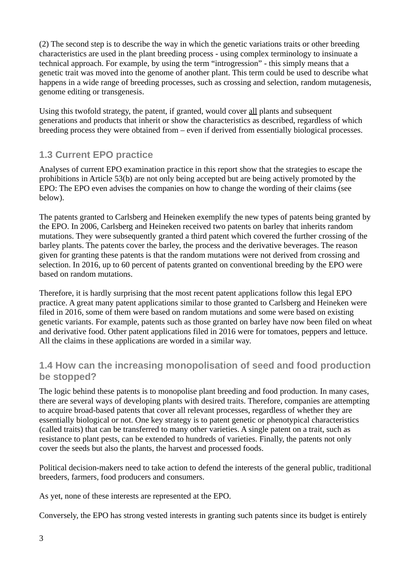(2) The second step is to describe the way in which the genetic variations traits or other breeding characteristics are used in the plant breeding process - using complex terminology to insinuate a technical approach. For example, by using the term "introgression" - this simply means that a genetic trait was moved into the genome of another plant. This term could be used to describe what happens in a wide range of breeding processes, such as crossing and selection, random mutagenesis, genome editing or transgenesis.

Using this twofold strategy, the patent, if granted, would cover all plants and subsequent generations and products that inherit or show the characteristics as described, regardless of which breeding process they were obtained from – even if derived from essentially biological processes.

# <span id="page-2-1"></span>**1.3 Current EPO practice**

Analyses of current EPO examination practice in this report show that the strategies to escape the prohibitions in Article 53(b) are not only being accepted but are being actively promoted by the EPO: The EPO even advises the companies on how to change the wording of their claims (see below).

The patents granted to Carlsberg and Heineken exemplify the new types of patents being granted by the EPO. In 2006, Carlsberg and Heineken received two patents on barley that inherits random mutations. They were subsequently granted a third patent which covered the further crossing of the barley plants. The patents cover the barley, the process and the derivative beverages. The reason given for granting these patents is that the random mutations were not derived from crossing and selection. In 2016, up to 60 percent of patents granted on conventional breeding by the EPO were based on random mutations.

Therefore, it is hardly surprising that the most recent patent applications follow this legal EPO practice. A great many patent applications similar to those granted to Carlsberg and Heineken were filed in 2016, some of them were based on random mutations and some were based on existing genetic variants. For example, patents such as those granted on barley have now been filed on wheat and derivative food. Other patent applications filed in 2016 were for tomatoes, peppers and lettuce. All the claims in these applications are worded in a similar way.

## <span id="page-2-0"></span>**1.4 How can the increasing monopolisation of seed and food production be stopped?**

The logic behind these patents is to monopolise plant breeding and food production. In many cases, there are several ways of developing plants with desired traits. Therefore, companies are attempting to acquire broad-based patents that cover all relevant processes, regardless of whether they are essentially biological or not. One key strategy is to patent genetic or phenotypical characteristics (called traits) that can be transferred to many other varieties. A single patent on a trait, such as resistance to plant pests, can be extended to hundreds of varieties. Finally, the patents not only cover the seeds but also the plants, the harvest and processed foods.

Political decision-makers need to take action to defend the interests of the general public, traditional breeders, farmers, food producers and consumers.

As yet, none of these interests are represented at the EPO.

Conversely, the EPO has strong vested interests in granting such patents since its budget is entirely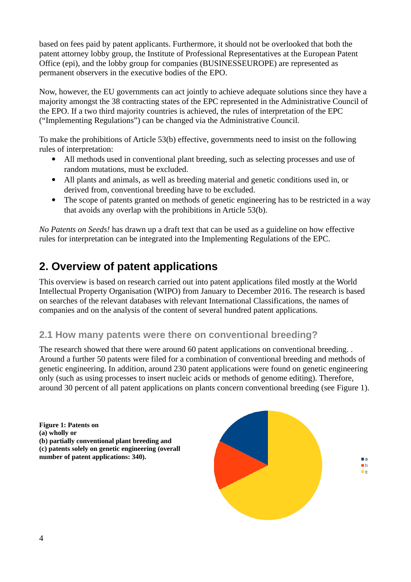based on fees paid by patent applicants. Furthermore, it should not be overlooked that both the patent attorney lobby group, the Institute of Professional Representatives at the European Patent Office (epi), and the lobby group for companies (BUSINESSEUROPE) are represented as permanent observers in the executive bodies of the EPO.

Now, however, the EU governments can act jointly to achieve adequate solutions since they have a majority amongst the 38 contracting states of the EPC represented in the Administrative Council of the EPO. If a two third majority countries is achieved, the rules of interpretation of the EPC ("Implementing Regulations") can be changed via the Administrative Council.

To make the prohibitions of Article 53(b) effective, governments need to insist on the following rules of interpretation:

- All methods used in conventional plant breeding, such as selecting processes and use of random mutations, must be excluded.
- All plants and animals, as well as breeding material and genetic conditions used in, or derived from, conventional breeding have to be excluded.
- The scope of patents granted on methods of genetic engineering has to be restricted in a way that avoids any overlap with the prohibitions in Article 53(b).

*No Patents on Seeds!* has drawn up a draft text that can be used as a guideline on how effective rules for interpretation can be integrated into the Implementing Regulations of the EPC.

# <span id="page-3-1"></span>**2. Overview of patent applications**

This overview is based on research carried out into patent applications filed mostly at the World Intellectual Property Organisation (WIPO) from January to December 2016. The research is based on searches of the relevant databases with relevant International Classifications, the names of companies and on the analysis of the content of several hundred patent applications.

# <span id="page-3-0"></span>**2.1 How many patents were there on conventional breeding?**

The research showed that there were around 60 patent applications on conventional breeding. . Around a further 50 patents were filed for a combination of conventional breeding and methods of genetic engineering. In addition, around 230 patent applications were found on genetic engineering only (such as using processes to insert nucleic acids or methods of genome editing). Therefore, around 30 percent of all patent applications on plants concern conventional breeding (see Figure 1).

**Figure 1: Patents on (a) wholly or (b) partially conventional plant breeding and (c) patents solely on genetic engineering (overall number of patent applications: 340).**

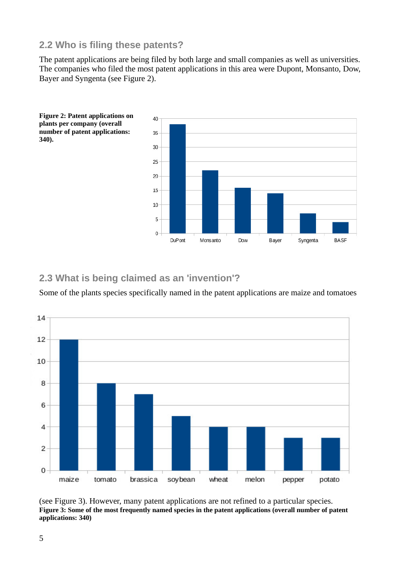## <span id="page-4-1"></span>**2.2 Who is filing these patents?**

The patent applications are being filed by both large and small companies as well as universities. The companies who filed the most patent applications in this area were Dupont, Monsanto, Dow, Bayer and Syngenta (see Figure 2).



<span id="page-4-0"></span>**2.3 What is being claimed as an 'invention'?** 

Some of the plants species specifically named in the patent applications are maize and tomatoes



(see Figure 3). However, many patent applications are not refined to a particular species. **Figure 3: Some of the most frequently named species in the patent applications (overall number of patent applications: 340)**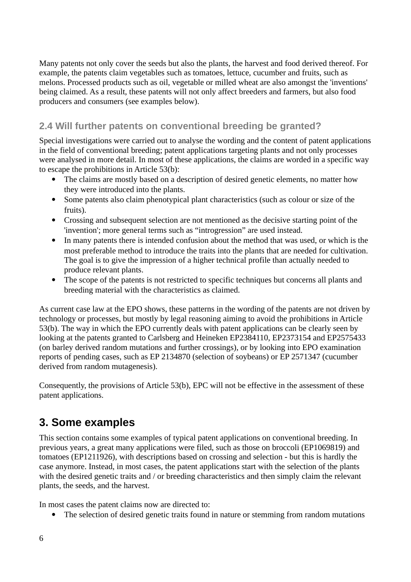Many patents not only cover the seeds but also the plants, the harvest and food derived thereof. For example, the patents claim vegetables such as tomatoes, lettuce, cucumber and fruits, such as melons. Processed products such as oil, vegetable or milled wheat are also amongst the 'inventions' being claimed. As a result, these patents will not only affect breeders and farmers, but also food producers and consumers (see examples below).

# <span id="page-5-1"></span>**2.4 Will further patents on conventional breeding be granted?**

Special investigations were carried out to analyse the wording and the content of patent applications in the field of conventional breeding; patent applications targeting plants and not only processes were analysed in more detail. In most of these applications, the claims are worded in a specific way to escape the prohibitions in Article 53(b):

- The claims are mostly based on a description of desired genetic elements, no matter how they were introduced into the plants.
- Some patents also claim phenotypical plant characteristics (such as colour or size of the fruits).
- Crossing and subsequent selection are not mentioned as the decisive starting point of the 'invention'; more general terms such as "introgression" are used instead.
- In many patents there is intended confusion about the method that was used, or which is the most preferable method to introduce the traits into the plants that are needed for cultivation. The goal is to give the impression of a higher technical profile than actually needed to produce relevant plants.
- The scope of the patents is not restricted to specific techniques but concerns all plants and breeding material with the characteristics as claimed.

As current case law at the EPO shows, these patterns in the wording of the patents are not driven by technology or processes, but mostly by legal reasoning aiming to avoid the prohibitions in Article 53(b). The way in which the EPO currently deals with patent applications can be clearly seen by looking at the patents granted to Carlsberg and Heineken EP2384110, EP2373154 and EP2575433 (on barley derived random mutations and further crossings), or by looking into EPO examination reports of pending cases, such as EP 2134870 (selection of soybeans) or EP 2571347 (cucumber derived from random mutagenesis).

Consequently, the provisions of Article 53(b), EPC will not be effective in the assessment of these patent applications.

# <span id="page-5-0"></span>**3. Some examples**

This section contains some examples of typical patent applications on conventional breeding. In previous years, a great many applications were filed, such as those on broccoli (EP1069819) and tomatoes (EP1211926), with descriptions based on crossing and selection - but this is hardly the case anymore. Instead, in most cases, the patent applications start with the selection of the plants with the desired genetic traits and / or breeding characteristics and then simply claim the relevant plants, the seeds, and the harvest.

In most cases the patent claims now are directed to:

• The selection of desired genetic traits found in nature or stemming from random mutations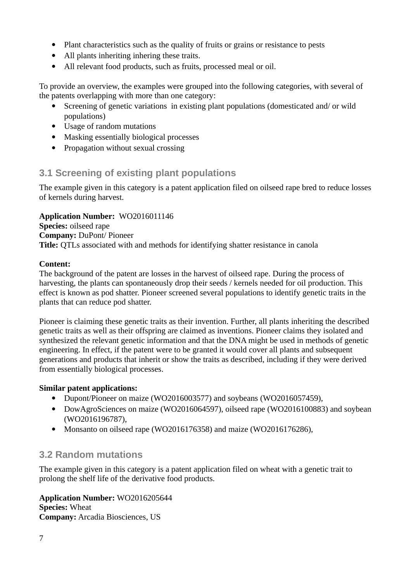- Plant characteristics such as the quality of fruits or grains or resistance to pests
- All plants inheriting inhering these traits.
- All relevant food products, such as fruits, processed meal or oil.

To provide an overview, the examples were grouped into the following categories, with several of the patents overlapping with more than one category:

- Screening of genetic variations in existing plant populations (domesticated and/ or wild populations)
- Usage of random mutations
- Masking essentially biological processes
- Propagation without sexual crossing

## <span id="page-6-1"></span>**3.1 Screening of existing plant populations**

The example given in this category is a patent application filed on oilseed rape bred to reduce losses of kernels during harvest.

**Application Number:** WO2016011146 **Species:** oilseed rape **Company:** DuPont/ Pioneer **Title:** QTLs associated with and methods for identifying shatter resistance in canola

#### **Content:**

The background of the patent are losses in the harvest of oilseed rape. During the process of harvesting, the plants can spontaneously drop their seeds / kernels needed for oil production. This effect is known as pod shatter. Pioneer screened several populations to identify genetic traits in the plants that can reduce pod shatter.

Pioneer is claiming these genetic traits as their invention. Further, all plants inheriting the described genetic traits as well as their offspring are claimed as inventions. Pioneer claims they isolated and synthesized the relevant genetic information and that the DNA might be used in methods of genetic engineering. In effect, if the patent were to be granted it would cover all plants and subsequent generations and products that inherit or show the traits as described, including if they were derived from essentially biological processes.

#### **Similar patent applications:**

- Dupont/Pioneer on maize (WO2016003577) and soybeans (WO2016057459),
- DowAgroSciences on maize (WO2016064597), oilseed rape (WO2016100883) and soybean (WO2016196787),
- Monsanto on oilseed rape (WO2016176358) and maize (WO2016176286),

## <span id="page-6-0"></span>**3.2 Random mutations**

The example given in this category is a patent application filed on wheat with a genetic trait to prolong the shelf life of the derivative food products.

**Application Number:** WO2016205644 **Species:** Wheat **Company:** Arcadia Biosciences, US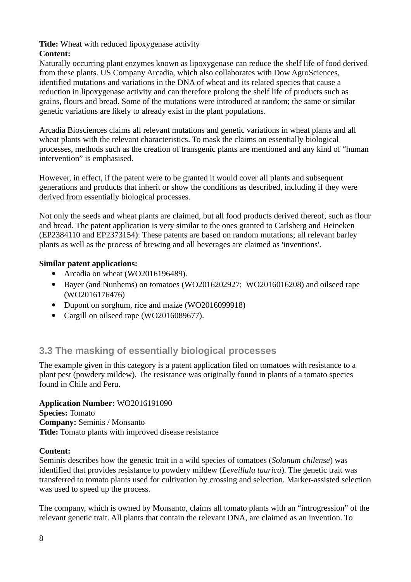#### **Title:** Wheat with reduced lipoxygenase activity

## **Content:**

Naturally occurring plant enzymes known as lipoxygenase can reduce the shelf life of food derived from these plants. US Company Arcadia, which also collaborates with Dow AgroSciences, identified mutations and variations in the DNA of wheat and its related species that cause a reduction in lipoxygenase activity and can therefore prolong the shelf life of products such as grains, flours and bread. Some of the mutations were introduced at random; the same or similar genetic variations are likely to already exist in the plant populations.

Arcadia Biosciences claims all relevant mutations and genetic variations in wheat plants and all wheat plants with the relevant characteristics. To mask the claims on essentially biological processes, methods such as the creation of transgenic plants are mentioned and any kind of "human intervention" is emphasised.

However, in effect, if the patent were to be granted it would cover all plants and subsequent generations and products that inherit or show the conditions as described, including if they were derived from essentially biological processes.

Not only the seeds and wheat plants are claimed, but all food products derived thereof, such as flour and bread. The patent application is very similar to the ones granted to Carlsberg and Heineken (EP2384110 and EP2373154): These patents are based on random mutations; all relevant barley plants as well as the process of brewing and all beverages are claimed as 'inventions'.

### **Similar patent applications:**

- Arcadia on wheat (WO2016196489).
- Bayer (and Nunhems) on tomatoes (WO2016202927; WO2016016208) and oilseed rape (WO2016176476)
- Dupont on sorghum, rice and maize (WO2016099918)
- Cargill on oilseed rape (WO2016089677).

# <span id="page-7-0"></span>**3.3 The masking of essentially biological processes**

The example given in this category is a patent application filed on tomatoes with resistance to a plant pest (powdery mildew). The resistance was originally found in plants of a tomato species found in Chile and Peru.

**Application Number:** WO2016191090 **Species:** Tomato **Company:** Seminis / Monsanto **Title:** Tomato plants with improved disease resistance

## **Content:**

Seminis describes how the genetic trait in a wild species of tomatoes (*Solanum chilense*) was identified that provides resistance to powdery mildew (*Leveillula taurica*). The genetic trait was transferred to tomato plants used for cultivation by crossing and selection. Marker-assisted selection was used to speed up the process.

The company, which is owned by Monsanto, claims all tomato plants with an "introgression" of the relevant genetic trait. All plants that contain the relevant DNA, are claimed as an invention. To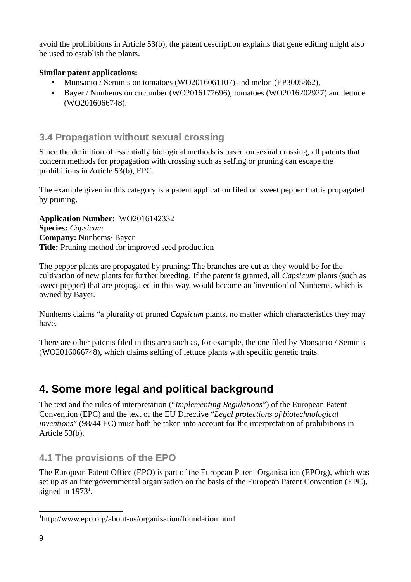avoid the prohibitions in Article 53(b), the patent description explains that gene editing might also be used to establish the plants.

#### **Similar patent applications:**

- Monsanto / Seminis on tomatoes (WO2016061107) and melon (EP3005862),
- Bayer / Nunhems on cucumber (WO2016177696), tomatoes (WO2016202927) and lettuce (WO2016066748).

# <span id="page-8-2"></span>**3.4 Propagation without sexual crossing**

Since the definition of essentially biological methods is based on sexual crossing, all patents that concern methods for propagation with crossing such as selfing or pruning can escape the prohibitions in Article 53(b), EPC.

The example given in this category is a patent application filed on sweet pepper that is propagated by pruning.

**Application Number:** WO2016142332 **Species:** *Capsicum* **Company:** Nunhems/ Bayer **Title:** Pruning method for improved seed production

The pepper plants are propagated by pruning: The branches are cut as they would be for the cultivation of new plants for further breeding. If the patent is granted, all *Capsicum* plants (such as sweet pepper) that are propagated in this way, would become an 'invention' of Nunhems, which is owned by Bayer.

Nunhems claims "a plurality of pruned *Capsicum* plants, no matter which characteristics they may have.

There are other patents filed in this area such as, for example, the one filed by Monsanto / Seminis (WO2016066748), which claims selfing of lettuce plants with specific genetic traits.

# <span id="page-8-1"></span>**4. Some more legal and political background**

The text and the rules of interpretation ("*Implementing Regulations*") of the European Patent Convention (EPC) and the text of the EU Directive "*Legal protections of biotechnological inventions*" (98/44 EC) must both be taken into account for the interpretation of prohibitions in Article 53(b).

# <span id="page-8-0"></span>**4.1 The provisions of the EPO**

The European Patent Office (EPO) is part of the European Patent Organisation (EPOrg), which was set up as an intergovernmental organisation on the basis of the European Patent Convention (EPC), signed in  $1973<sup>1</sup>$  $1973<sup>1</sup>$ .

<span id="page-8-3"></span><sup>1</sup> http://www.epo.org/about-us/organisation/foundation.html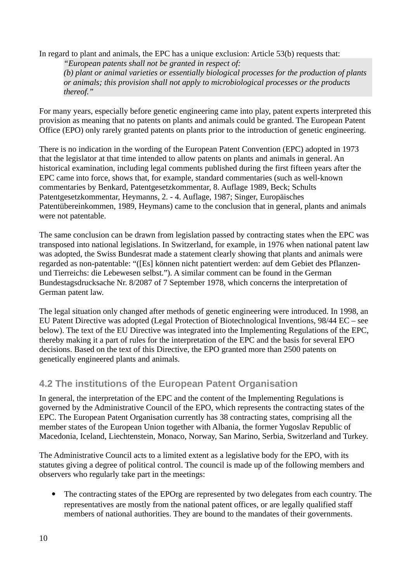In regard to plant and animals, the EPC has a unique exclusion: Article 53(b) requests that: *"European patents shall not be granted in respect of:*

*(b) plant or animal varieties or essentially biological processes for the production of plants or animals; this provision shall not apply to microbiological processes or the products thereof."* 

For many years, especially before genetic engineering came into play, patent experts interpreted this provision as meaning that no patents on plants and animals could be granted. The European Patent Office (EPO) only rarely granted patents on plants prior to the introduction of genetic engineering.

There is no indication in the wording of the European Patent Convention (EPC) adopted in 1973 that the legislator at that time intended to allow patents on plants and animals in general. An historical examination, including legal comments published during the first fifteen years after the EPC came into force, shows that, for example, standard commentaries (such as well-known commentaries by Benkard, Patentgesetzkommentar, 8. Auflage 1989, Beck; Schults Patentgesetzkommentar, Heymanns, 2. - 4. Auflage, 1987; Singer, Europäisches Patentübereinkommen, 1989, Heymans) came to the conclusion that in general, plants and animals were not patentable.

The same conclusion can be drawn from legislation passed by contracting states when the EPC was transposed into national legislations. In Switzerland, for example, in 1976 when national patent law was adopted, the Swiss Bundesrat made a statement clearly showing that plants and animals were regarded as non-patentable: "([Es] können nicht patentiert werden: auf dem Gebiet des Pflanzenund Tierreichs: die Lebewesen selbst."). A similar comment can be found in the German Bundestagsdrucksache Nr. 8/2087 of 7 September 1978, which concerns the interpretation of German patent law.

The legal situation only changed after methods of genetic engineering were introduced. In 1998, an EU Patent Directive was adopted (Legal Protection of Biotechnological Inventions, 98/44 EC – see below). The text of the EU Directive was integrated into the Implementing Regulations of the EPC, thereby making it a part of rules for the interpretation of the EPC and the basis for several EPO decisions. Based on the text of this Directive, the EPO granted more than 2500 patents on genetically engineered plants and animals.

# <span id="page-9-0"></span>**4.2 The institutions of the European Patent Organisation**

In general, the interpretation of the EPC and the content of the Implementing Regulations is governed by the Administrative Council of the EPO, which represents the contracting states of the EPC. The European Patent Organisation currently has 38 contracting states, comprising all the member states of the European Union together with Albania, the former Yugoslav Republic of Macedonia, Iceland, Liechtenstein, Monaco, Norway, San Marino, Serbia, Switzerland and Turkey.

The Administrative Council acts to a limited extent as a legislative body for the EPO, with its statutes giving a degree of political control. The council is made up of the following members and observers who regularly take part in the meetings:

• The contracting states of the EPOrg are represented by two delegates from each country. The representatives are mostly from the national patent offices, or are legally qualified staff members of national authorities. They are bound to the mandates of their governments.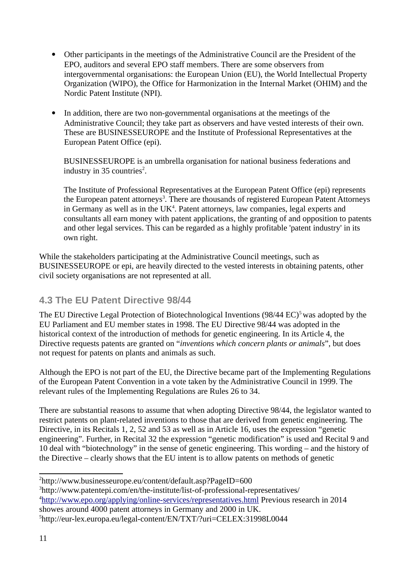- Other participants in the meetings of the Administrative Council are the President of the EPO, auditors and several EPO staff members. There are some observers from intergovernmental organisations: the European Union (EU), the World Intellectual Property Organization (WIPO), the Office for Harmonization in the Internal Market (OHIM) and the Nordic Patent Institute (NPI).
- In addition, there are two non-governmental organisations at the meetings of the Administrative Council; they take part as observers and have vested interests of their own. These are BUSINESSEUROPE and the Institute of Professional Representatives at the European Patent Office (epi).

BUSINESSEUROPE is an umbrella organisation for national business federations and industry in 35 countries<sup>[2](#page-10-1)</sup>.

The Institute of Professional Representatives at the European Patent Office (epi) represents the European patent attorneys $^3$  $^3$ . There are thousands of registered European Patent Attorneys in Germany as well as in the  $UK<sup>4</sup>$  $UK<sup>4</sup>$  $UK<sup>4</sup>$ . Patent attorneys, law companies, legal experts and consultants all earn money with patent applications, the granting of and opposition to patents and other legal services. This can be regarded as a highly profitable 'patent industry' in its own right.

While the stakeholders participating at the Administrative Council meetings, such as BUSINESSEUROPE or epi, are heavily directed to the vested interests in obtaining patents, other civil society organisations are not represented at all.

# <span id="page-10-0"></span>**4.3 The EU Patent Directive 98/44**

The EU Directive Legal Protection of Biotechnological Inventions  $(98/44 \text{ EC})^5$  $(98/44 \text{ EC})^5$  was adopted by the EU Parliament and EU member states in 1998. The EU Directive 98/44 was adopted in the historical context of the introduction of methods for genetic engineering. In its Article 4, the Directive requests patents are granted on "*inventions which concern plants or animals*", but does not request for patents on plants and animals as such.

Although the EPO is not part of the EU, the Directive became part of the Implementing Regulations of the European Patent Convention in a vote taken by the Administrative Council in 1999. The relevant rules of the Implementing Regulations are Rules 26 to 34.

There are substantial reasons to assume that when adopting Directive 98/44, the legislator wanted to restrict patents on plant-related inventions to those that are derived from genetic engineering. The Directive, in its Recitals 1, 2, 52 and 53 as well as in Article 16, uses the expression "genetic engineering". Further, in Recital 32 the expression "genetic modification" is used and Recital 9 and 10 deal with "biotechnology" in the sense of genetic engineering. This wording – and the history of the Directive – clearly shows that the EU intent is to allow patents on methods of genetic

<span id="page-10-3"></span><span id="page-10-2"></span><sup>3</sup>http://www.patentepi.com/en/the-institute/list-of-professional-representatives/ <sup>4</sup><http://www.epo.org/applying/online-services/representatives.html>Previous research in 2014 showes around 4000 patent attorneys in Germany and 2000 in UK.

<span id="page-10-1"></span><sup>2</sup> http://www.businesseurope.eu/content/default.asp?PageID=600

<span id="page-10-4"></span><sup>5</sup> http://eur-lex.europa.eu/legal-content/EN/TXT/?uri=CELEX:31998L0044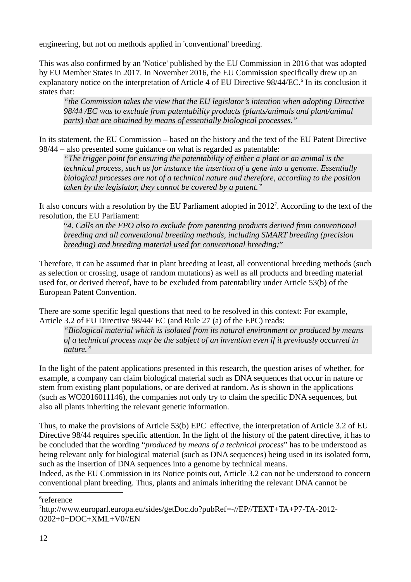engineering, but not on methods applied in 'conventional' breeding.

This was also confirmed by an 'Notice' published by the EU Commission in 2016 that was adopted by EU Member States in 2017. In November 2016, the EU Commission specifically drew up an explanatory notice on the interpretation of Article 4 of EU Directive 98/44/EC.<sup>[6](#page-11-0)</sup> In its conclusion it states that:

*"the Commission takes the view that the EU legislator's intention when adopting Directive 98/44 /EC was to exclude from patentability products (plants/animals and plant/animal parts) that are obtained by means of essentially biological processes."* 

In its statement, the EU Commission – based on the history and the text of the EU Patent Directive 98/44 – also presented some guidance on what is regarded as patentable:

*"The trigger point for ensuring the patentability of either a plant or an animal is the technical process, such as for instance the insertion of a gene into a genome. Essentially biological processes are not of a technical nature and therefore, according to the position taken by the legislator, they cannot be covered by a patent."*

It also concurs with a resolution by the EU Parliament adopted in 2012<sup>[7](#page-11-1)</sup>. According to the text of the resolution, the EU Parliament:

"*4. Calls on the EPO also to exclude from patenting products derived from conventional breeding and all conventional breeding methods, including SMART breeding (precision breeding) and breeding material used for conventional breeding;*"

Therefore, it can be assumed that in plant breeding at least, all conventional breeding methods (such as selection or crossing, usage of random mutations) as well as all products and breeding material used for, or derived thereof, have to be excluded from patentability under Article 53(b) of the European Patent Convention.

There are some specific legal questions that need to be resolved in this context: For example, Article 3.2 of EU Directive 98/44/ EC (and Rule 27 (a) of the EPC) reads:

*"Biological material which is isolated from its natural environment or produced by means of a technical process may be the subject of an invention even if it previously occurred in nature."* 

In the light of the patent applications presented in this research, the question arises of whether, for example, a company can claim biological material such as DNA sequences that occur in nature or stem from existing plant populations, or are derived at random. As is shown in the applications (such as WO2016011146), the companies not only try to claim the specific DNA sequences, but also all plants inheriting the relevant genetic information.

Thus, to make the provisions of Article 53(b) EPC effective, the interpretation of Article 3.2 of EU Directive 98/44 requires specific attention. In the light of the history of the patent directive, it has to be concluded that the wording "*produced by means of a technical process*" has to be understood as being relevant only for biological material (such as DNA sequences) being used in its isolated form, such as the insertion of DNA sequences into a genome by technical means.

Indeed, as the EU Commission in its Notice points out, Article 3.2 can not be understood to concern conventional plant breeding. Thus, plants and animals inheriting the relevant DNA cannot be

<span id="page-11-0"></span> $^6$ reference

<span id="page-11-1"></span><sup>7</sup> http://www.europarl.europa.eu/sides/getDoc.do?pubRef=-//EP//TEXT+TA+P7-TA-2012- 0202+0+DOC+XML+V0//EN